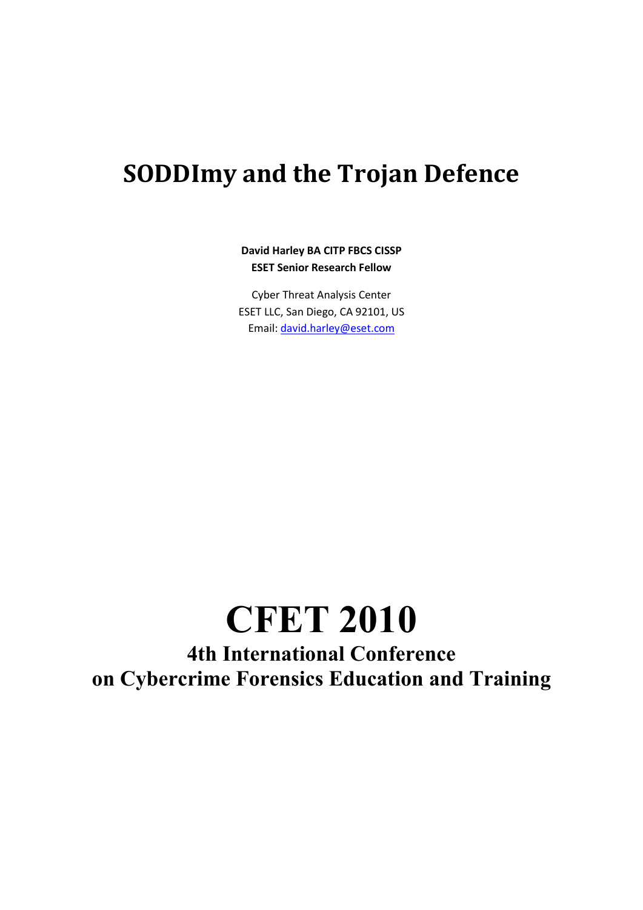# **SODDImy and the Trojan Defence**

#### **David Harley BA CITP FBCS CISSP ESET Senior Research Fellow**

Cyber Threat Analysis Center ESET LLC, San Diego, CA 92101, US Email[: david.harley@eset.com](mailto:david.harley@eset.com)

# **CFET 2010**

**4th International Conference on Cybercrime Forensics Education and Training**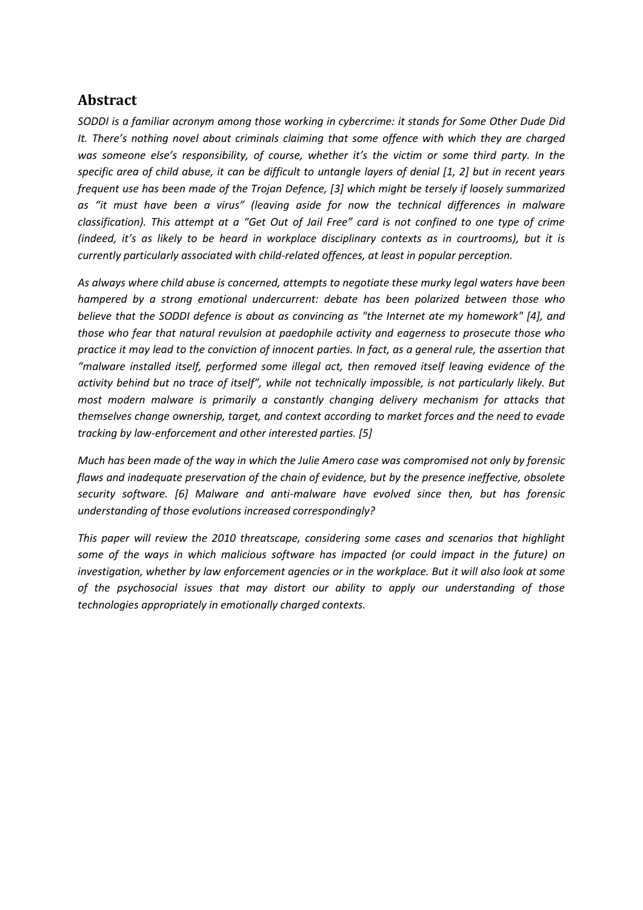#### **Abstract**

*SODDI is a familiar acronym among those working in cybercrime: it stands for Some Other Dude Did It. There's nothing novel about criminals claiming that some offence with which they are charged was someone else's responsibility, of course, whether it's the victim or some third party. In the specific area of child abuse, it can be difficult to untangle layers of denial [1, 2] but in recent years frequent use has been made of the Trojan Defence, [3] which might be tersely if loosely summarized as "it must have been a virus" (leaving aside for now the technical differences in malware classification). This attempt at a "Get Out of Jail Free" card is not confined to one type of crime (indeed, it's as likely to be heard in workplace disciplinary contexts as in courtrooms), but it is currently particularly associated with child-related offences, at least in popular perception.*

*As always where child abuse is concerned, attempts to negotiate these murky legal waters have been hampered by a strong emotional undercurrent: debate has been polarized between those who believe that the SODDI defence is about as convincing as "the Internet ate my homework" [4], and those who fear that natural revulsion at paedophile activity and eagerness to prosecute those who practice it may lead to the conviction of innocent parties. In fact, as a general rule, the assertion that "malware installed itself, performed some illegal act, then removed itself leaving evidence of the activity behind but no trace of itself", while not technically impossible, is not particularly likely. But most modern malware is primarily a constantly changing delivery mechanism for attacks that themselves change ownership, target, and context according to market forces and the need to evade tracking by law-enforcement and other interested parties. [5]*

*Much has been made of the way in which the Julie Amero case was compromised not only by forensic flaws and inadequate preservation of the chain of evidence, but by the presence ineffective, obsolete security software. [6] Malware and anti-malware have evolved since then, but has forensic understanding of those evolutions increased correspondingly?* 

*This paper will review the 2010 threatscape, considering some cases and scenarios that highlight some of the ways in which malicious software has impacted (or could impact in the future) on investigation, whether by law enforcement agencies or in the workplace. But it will also look at some of the psychosocial issues that may distort our ability to apply our understanding of those technologies appropriately in emotionally charged contexts.*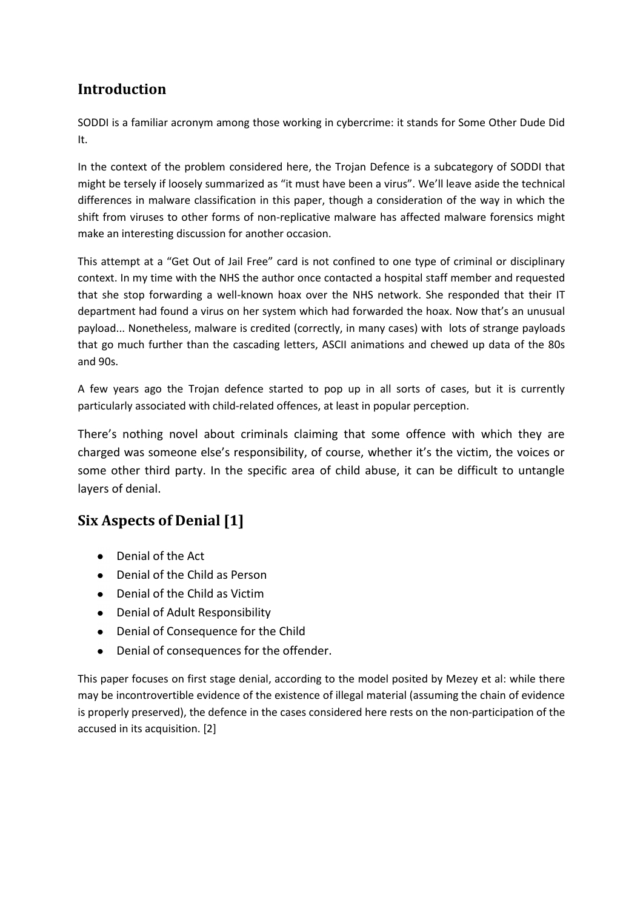#### **Introduction**

SODDI is a familiar acronym among those working in cybercrime: it stands for Some Other Dude Did It.

In the context of the problem considered here, the Trojan Defence is a subcategory of SODDI that might be tersely if loosely summarized as "it must have been a virus". We'll leave aside the technical differences in malware classification in this paper, though a consideration of the way in which the shift from viruses to other forms of non-replicative malware has affected malware forensics might make an interesting discussion for another occasion.

This attempt at a "Get Out of Jail Free" card is not confined to one type of criminal or disciplinary context. In my time with the NHS the author once contacted a hospital staff member and requested that she stop forwarding a well-known hoax over the NHS network. She responded that their IT department had found a virus on her system which had forwarded the hoax. Now that's an unusual payload... Nonetheless, malware is credited (correctly, in many cases) with lots of strange payloads that go much further than the cascading letters, ASCII animations and chewed up data of the 80s and 90s.

A few years ago the Trojan defence started to pop up in all sorts of cases, but it is currently particularly associated with child-related offences, at least in popular perception.

There's nothing novel about criminals claiming that some offence with which they are charged was someone else's responsibility, of course, whether it's the victim, the voices or some other third party. In the specific area of child abuse, it can be difficult to untangle layers of denial.

### **Six Aspects of Denial [1]**

- Denial of the Act
- Denial of the Child as Person
- Denial of the Child as Victim
- Denial of Adult Responsibility
- Denial of Consequence for the Child
- Denial of consequences for the offender.  $\bullet$

This paper focuses on first stage denial, according to the model posited by Mezey et al: while there may be incontrovertible evidence of the existence of illegal material (assuming the chain of evidence is properly preserved), the defence in the cases considered here rests on the non-participation of the accused in its acquisition. [2]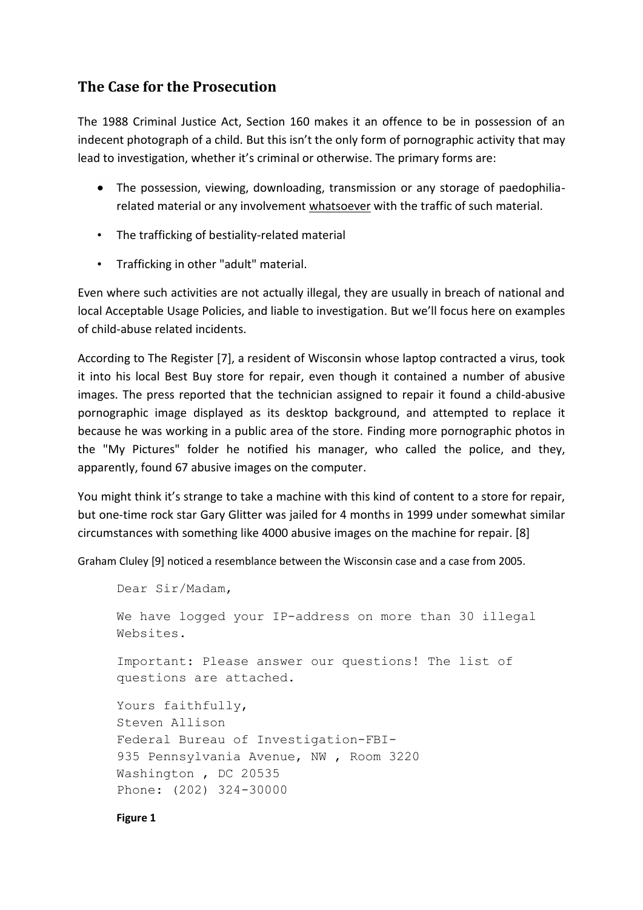#### **The Case for the Prosecution**

The 1988 Criminal Justice Act, Section 160 makes it an offence to be in possession of an indecent photograph of a child. But this isn't the only form of pornographic activity that may lead to investigation, whether it's criminal or otherwise. The primary forms are:

- The possession, viewing, downloading, transmission or any storage of paedophiliarelated material or any involvement whatsoever with the traffic of such material.
- The trafficking of bestiality-related material
- Trafficking in other "adult" material.

Even where such activities are not actually illegal, they are usually in breach of national and local Acceptable Usage Policies, and liable to investigation. But we'll focus here on examples of child-abuse related incidents.

According to The Register [7], a resident of Wisconsin whose laptop contracted a virus, took it into his local Best Buy store for repair, even though it contained a number of abusive images. The press reported that the technician assigned to repair it found a child-abusive pornographic image displayed as its desktop background, and attempted to replace it because he was working in a public area of the store. Finding more pornographic photos in the "My Pictures" folder he notified his manager, who called the police, and they, apparently, found 67 abusive images on the computer.

You might think it's strange to take a machine with this kind of content to a store for repair, but one-time rock star Gary Glitter was jailed for 4 months in 1999 under somewhat similar circumstances with something like 4000 abusive images on the machine for repair. [8]

Graham Cluley [9] noticed a resemblance between the Wisconsin case and a case from 2005.

```
Dear Sir/Madam, 
We have logged your IP-address on more than 30 illegal 
Websites. 
Important: Please answer our questions! The list of 
questions are attached. 
Yours faithfully, 
Steven Allison 
Federal Bureau of Investigation-FBI-
935 Pennsylvania Avenue, NW , Room 3220 
Washington , DC 20535 
Phone: (202) 324-30000
```
#### **Figure 1**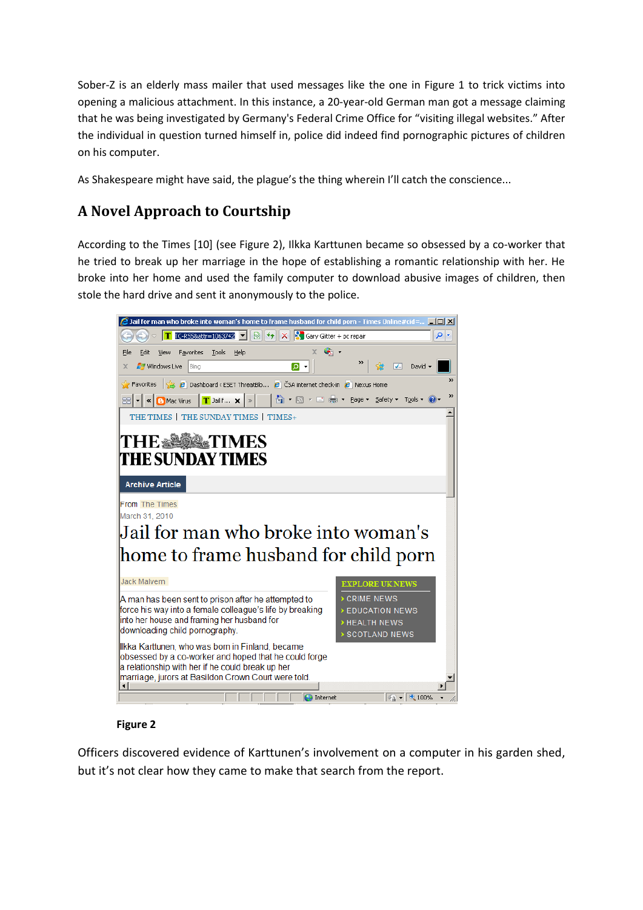Sober-Z is an elderly mass mailer that used messages like the one in Figure 1 to trick victims into opening a malicious attachment. In this instance, a 20-year-old German man got a message claiming that he was being investigated by Germany's Federal Crime Office for "visiting illegal websites." After the individual in question turned himself in, police did indeed find pornographic pictures of children on his computer.

As Shakespeare might have said, the plague's the thing wherein I'll catch the conscience...

# **A Novel Approach to Courtship**

According to the Times [10] (see Figure 2), Ilkka Karttunen became so obsessed by a co-worker that he tried to break up her marriage in the hope of establishing a romantic relationship with her. He broke into her home and used the family computer to download abusive images of children, then stole the hard drive and sent it anonymously to the police.



#### **Figure 2**

Officers discovered evidence of Karttunen's involvement on a computer in his garden shed, but it's not clear how they came to make that search from the report.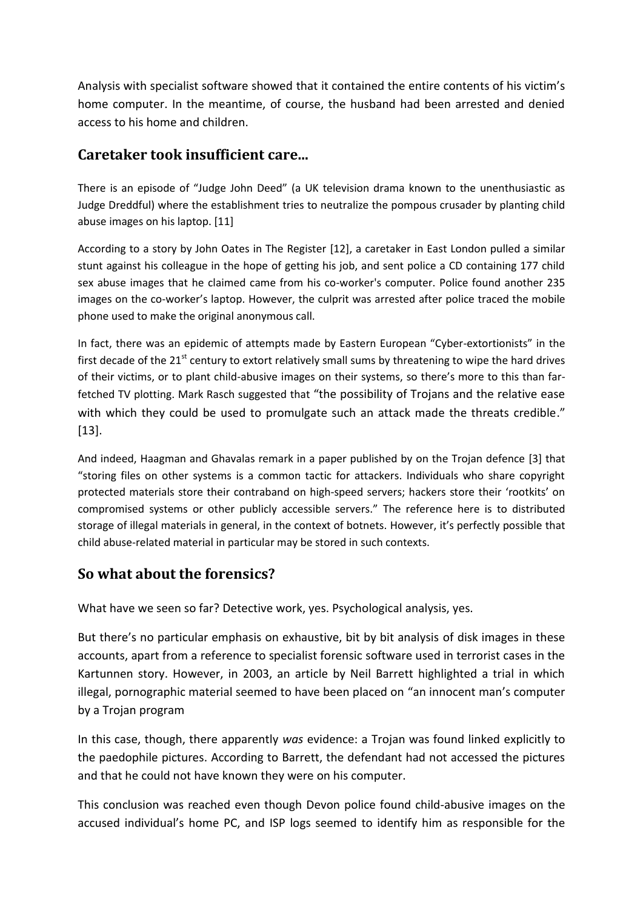Analysis with specialist software showed that it contained the entire contents of his victim's home computer. In the meantime, of course, the husband had been arrested and denied access to his home and children.

#### **Caretaker took insufficient care...**

There is an episode of "Judge John Deed" (a UK television drama known to the unenthusiastic as Judge Dreddful) where the establishment tries to neutralize the pompous crusader by planting child abuse images on his laptop. [11]

According to a story by John Oates in The Register [12], a caretaker in East London pulled a similar stunt against his colleague in the hope of getting his job, and sent police a CD containing 177 child sex abuse images that he claimed came from his co-worker's computer. Police found another 235 images on the co-worker's laptop. However, the culprit was arrested after police traced the mobile phone used to make the original anonymous call.

In fact, there was an epidemic of attempts made by Eastern European "Cyber-extortionists" in the first decade of the  $21<sup>st</sup>$  century to extort relatively small sums by threatening to wipe the hard drives of their victims, or to plant child-abusive images on their systems, so there's more to this than farfetched TV plotting. Mark Rasch suggested that "the possibility of Trojans and the relative ease with which they could be used to promulgate such an attack made the threats credible." [13].

And indeed, Haagman and Ghavalas remark in a paper published by on the Trojan defence [3] that "storing files on other systems is a common tactic for attackers. Individuals who share copyright protected materials store their contraband on high-speed servers; hackers store their 'rootkits' on compromised systems or other publicly accessible servers." The reference here is to distributed storage of illegal materials in general, in the context of botnets. However, it's perfectly possible that child abuse-related material in particular may be stored in such contexts.

#### **So what about the forensics?**

What have we seen so far? Detective work, yes. Psychological analysis, yes.

But there's no particular emphasis on exhaustive, bit by bit analysis of disk images in these accounts, apart from a reference to specialist forensic software used in terrorist cases in the Kartunnen story. However, in 2003, an article by Neil Barrett highlighted a trial in which illegal, pornographic material seemed to have been placed on "an innocent man's computer by a Trojan program

In this case, though, there apparently *was* evidence: a Trojan was found linked explicitly to the paedophile pictures. According to Barrett, the defendant had not accessed the pictures and that he could not have known they were on his computer.

This conclusion was reached even though Devon police found child-abusive images on the accused individual's home PC, and ISP logs seemed to identify him as responsible for the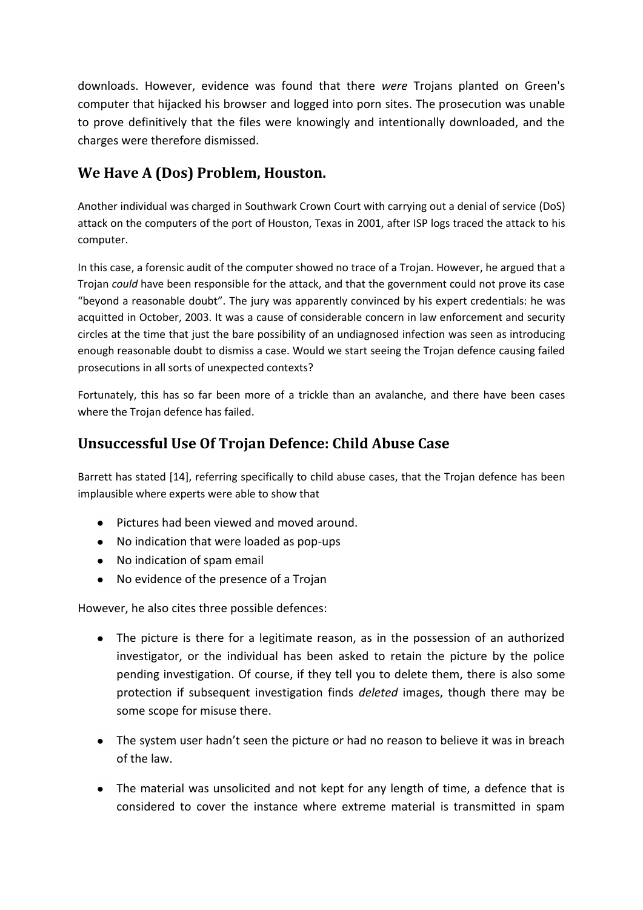downloads. However, evidence was found that there *were* Trojans planted on Green's computer that hijacked his browser and logged into porn sites. The prosecution was unable to prove definitively that the files were knowingly and intentionally downloaded, and the charges were therefore dismissed.

### **We Have A (Dos) Problem, Houston.**

Another individual was charged in Southwark Crown Court with carrying out a denial of service (DoS) attack on the computers of the port of Houston, Texas in 2001, after ISP logs traced the attack to his computer.

In this case, a forensic audit of the computer showed no trace of a Trojan. However, he argued that a Trojan *could* have been responsible for the attack, and that the government could not prove its case "beyond a reasonable doubt". The jury was apparently convinced by his expert credentials: he was acquitted in October, 2003. It was a cause of considerable concern in law enforcement and security circles at the time that just the bare possibility of an undiagnosed infection was seen as introducing enough reasonable doubt to dismiss a case. Would we start seeing the Trojan defence causing failed prosecutions in all sorts of unexpected contexts?

Fortunately, this has so far been more of a trickle than an avalanche, and there have been cases where the Trojan defence has failed.

#### **Unsuccessful Use Of Trojan Defence: Child Abuse Case**

Barrett has stated [14], referring specifically to child abuse cases, that the Trojan defence has been implausible where experts were able to show that

- Pictures had been viewed and moved around.
- No indication that were loaded as pop-ups
- No indication of spam email
- No evidence of the presence of a Trojan

However, he also cites three possible defences:

- The picture is there for a legitimate reason, as in the possession of an authorized investigator, or the individual has been asked to retain the picture by the police pending investigation. Of course, if they tell you to delete them, there is also some protection if subsequent investigation finds *deleted* images, though there may be some scope for misuse there.
- The system user hadn't seen the picture or had no reason to believe it was in breach of the law.
- The material was unsolicited and not kept for any length of time, a defence that is considered to cover the instance where extreme material is transmitted in spam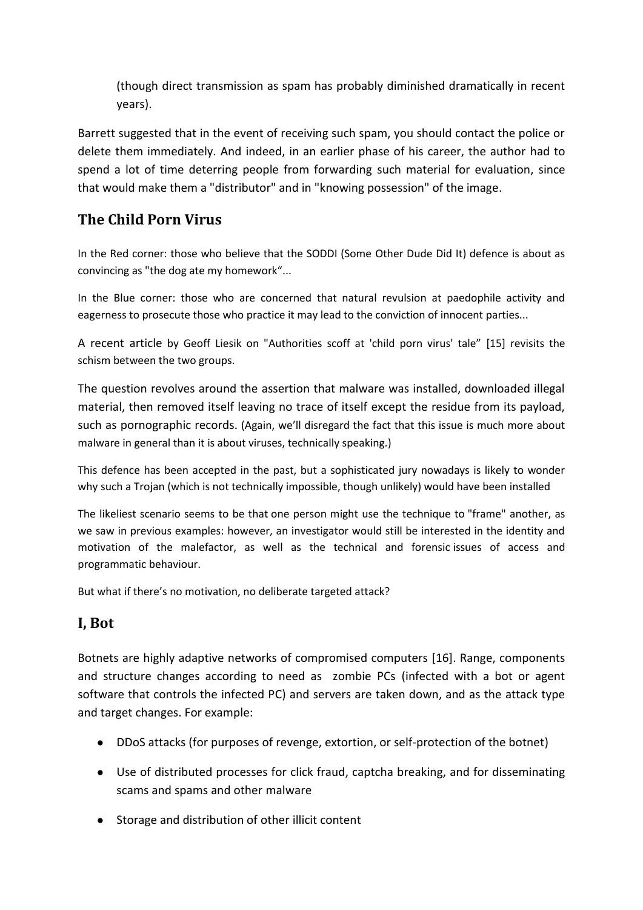(though direct transmission as spam has probably diminished dramatically in recent years).

Barrett suggested that in the event of receiving such spam, you should contact the police or delete them immediately. And indeed, in an earlier phase of his career, the author had to spend a lot of time deterring people from forwarding such material for evaluation, since that would make them a "distributor" and in "knowing possession" of the image.

### **The Child Porn Virus**

In the Red corner: those who believe that the SODDI (Some Other Dude Did It) defence is about as convincing as "the dog ate my homework"...

In the Blue corner: those who are concerned that natural revulsion at paedophile activity and eagerness to prosecute those who practice it may lead to the conviction of innocent parties...

A recent article by Geoff Liesik on "Authorities scoff at 'child porn virus' tale" [15] revisits the schism between the two groups.

The question revolves around the assertion that malware was installed, downloaded illegal material, then removed itself leaving no trace of itself except the residue from its payload, such as pornographic records. (Again, we'll disregard the fact that this issue is much more about malware in general than it is about viruses, technically speaking.)

This defence has been accepted in the past, but a sophisticated jury nowadays is likely to wonder why such a Trojan (which is not technically impossible, though unlikely) would have been installed

The likeliest scenario seems to be that one person might use the technique to "frame" another, as we saw in previous examples: however, an investigator would still be interested in the identity and motivation of the malefactor, as well as the technical and forensic issues of access and programmatic behaviour.

But what if there's no motivation, no deliberate targeted attack?

### **I, Bot**

Botnets are highly adaptive networks of compromised computers [16]. Range, components and structure changes according to need as zombie PCs (infected with a bot or agent software that controls the infected PC) and servers are taken down, and as the attack type and target changes. For example:

- DDoS attacks (for purposes of revenge, extortion, or self-protection of the botnet)
- Use of distributed processes for click fraud, captcha breaking, and for disseminating scams and spams and other malware
- Storage and distribution of other illicit content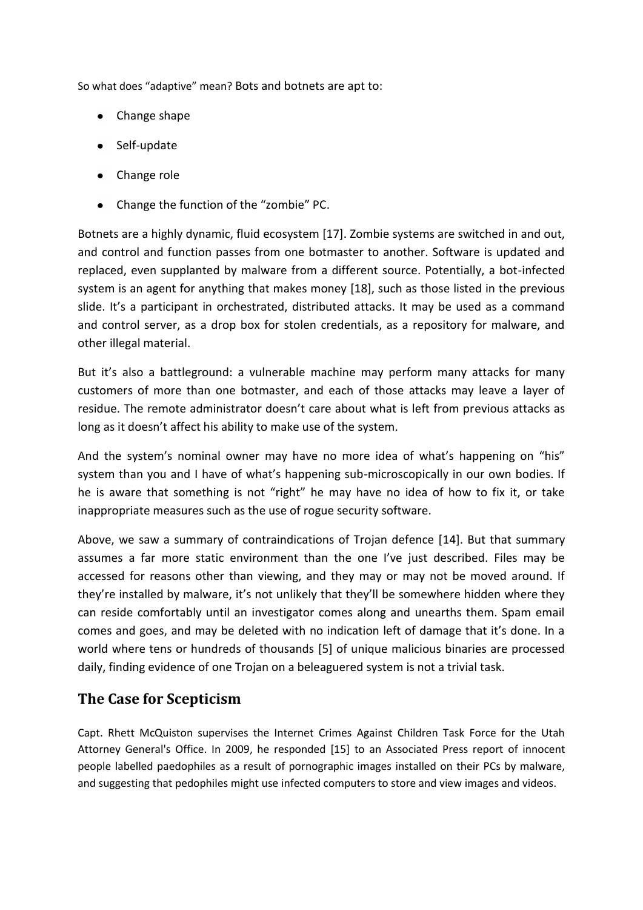So what does "adaptive" mean? Bots and botnets are apt to:

- Change shape
- Self-update
- Change role
- Change the function of the "zombie" PC.

Botnets are a highly dynamic, fluid ecosystem [17]. Zombie systems are switched in and out, and control and function passes from one botmaster to another. Software is updated and replaced, even supplanted by malware from a different source. Potentially, a bot-infected system is an agent for anything that makes money [18], such as those listed in the previous slide. It's a participant in orchestrated, distributed attacks. It may be used as a command and control server, as a drop box for stolen credentials, as a repository for malware, and other illegal material.

But it's also a battleground: a vulnerable machine may perform many attacks for many customers of more than one botmaster, and each of those attacks may leave a layer of residue. The remote administrator doesn't care about what is left from previous attacks as long as it doesn't affect his ability to make use of the system.

And the system's nominal owner may have no more idea of what's happening on "his" system than you and I have of what's happening sub-microscopically in our own bodies. If he is aware that something is not "right" he may have no idea of how to fix it, or take inappropriate measures such as the use of rogue security software.

Above, we saw a summary of contraindications of Trojan defence [14]. But that summary assumes a far more static environment than the one I've just described. Files may be accessed for reasons other than viewing, and they may or may not be moved around. If they're installed by malware, it's not unlikely that they'll be somewhere hidden where they can reside comfortably until an investigator comes along and unearths them. Spam email comes and goes, and may be deleted with no indication left of damage that it's done. In a world where tens or hundreds of thousands [5] of unique malicious binaries are processed daily, finding evidence of one Trojan on a beleaguered system is not a trivial task.

#### **The Case for Scepticism**

Capt. Rhett McQuiston supervises the Internet Crimes Against Children Task Force for the Utah Attorney General's Office. In 2009, he responded [15] to an Associated Press report of innocent people labelled paedophiles as a result of pornographic images installed on their PCs by malware, and suggesting that pedophiles might use infected computers to store and view images and videos.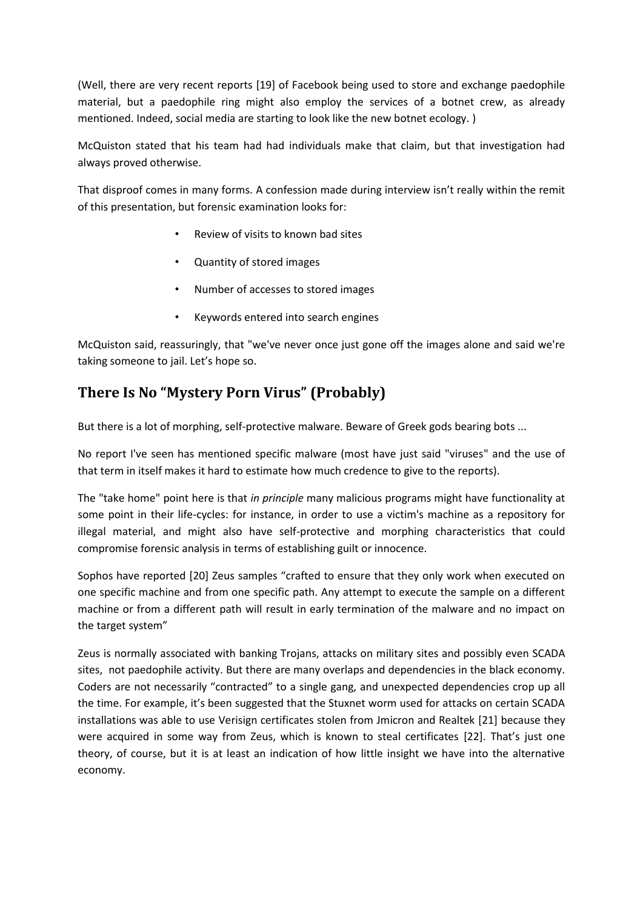(Well, there are very recent reports [19] of Facebook being used to store and exchange paedophile material, but a paedophile ring might also employ the services of a botnet crew, as already mentioned. Indeed, social media are starting to look like the new botnet ecology. )

McQuiston stated that his team had had individuals make that claim, but that investigation had always proved otherwise.

That disproof comes in many forms. A confession made during interview isn't really within the remit of this presentation, but forensic examination looks for:

- Review of visits to known bad sites
- Quantity of stored images
- Number of accesses to stored images
- Keywords entered into search engines

McQuiston said, reassuringly, that "we've never once just gone off the images alone and said we're taking someone to jail. Let's hope so.

# **There Is No "Mystery Porn Virus" (Probably)**

But there is a lot of morphing, self-protective malware. Beware of Greek gods bearing bots ...

No report I've seen has mentioned specific malware (most have just said "viruses" and the use of that term in itself makes it hard to estimate how much credence to give to the reports).

The "take home" point here is that *in principle* many malicious programs might have functionality at some point in their life-cycles: for instance, in order to use a victim's machine as a repository for illegal material, and might also have self-protective and morphing characteristics that could compromise forensic analysis in terms of establishing guilt or innocence.

Sophos have reported [20] Zeus samples "crafted to ensure that they only work when executed on one specific machine and from one specific path. Any attempt to execute the sample on a different machine or from a different path will result in early termination of the malware and no impact on the target system"

Zeus is normally associated with banking Trojans, attacks on military sites and possibly even SCADA sites, not paedophile activity. But there are many overlaps and dependencies in the black economy. Coders are not necessarily "contracted" to a single gang, and unexpected dependencies crop up all the time. For example, it's been suggested that the Stuxnet worm used for attacks on certain SCADA installations was able to use Verisign certificates stolen from Jmicron and Realtek [21] because they were acquired in some way from Zeus, which is known to steal certificates [22]. That's just one theory, of course, but it is at least an indication of how little insight we have into the alternative economy.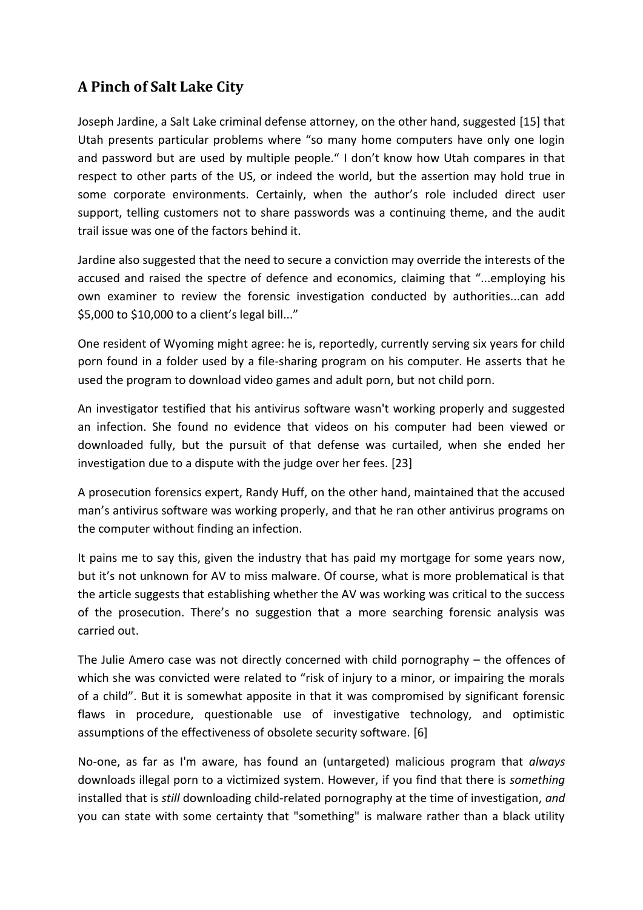#### **A Pinch of Salt Lake City**

Joseph Jardine, a Salt Lake criminal defense attorney, on the other hand, suggested [15] that Utah presents particular problems where "so many home computers have only one login and password but are used by multiple people." I don't know how Utah compares in that respect to other parts of the US, or indeed the world, but the assertion may hold true in some corporate environments. Certainly, when the author's role included direct user support, telling customers not to share passwords was a continuing theme, and the audit trail issue was one of the factors behind it.

Jardine also suggested that the need to secure a conviction may override the interests of the accused and raised the spectre of defence and economics, claiming that "...employing his own examiner to review the forensic investigation conducted by authorities...can add \$5,000 to \$10,000 to a client's legal bill..."

One resident of Wyoming might agree: he is, reportedly, currently serving six years for child porn found in a folder used by a file-sharing program on his computer. He asserts that he used the program to download video games and adult porn, but not child porn.

An investigator testified that his antivirus software wasn't working properly and suggested an infection. She found no evidence that videos on his computer had been viewed or downloaded fully, but the pursuit of that defense was curtailed, when she ended her investigation due to a dispute with the judge over her fees. [23]

A prosecution forensics expert, Randy Huff, on the other hand, maintained that the accused man's antivirus software was working properly, and that he ran other antivirus programs on the computer without finding an infection.

It pains me to say this, given the industry that has paid my mortgage for some years now, but it's not unknown for AV to miss malware. Of course, what is more problematical is that the article suggests that establishing whether the AV was working was critical to the success of the prosecution. There's no suggestion that a more searching forensic analysis was carried out.

The Julie Amero case was not directly concerned with child pornography – the offences of which she was convicted were related to "risk of injury to a minor, or impairing the morals of a child". But it is somewhat apposite in that it was compromised by significant forensic flaws in procedure, questionable use of investigative technology, and optimistic assumptions of the effectiveness of obsolete security software. [6]

No-one, as far as I'm aware, has found an (untargeted) malicious program that *always* downloads illegal porn to a victimized system. However, if you find that there is *something*  installed that is *still* downloading child-related pornography at the time of investigation, *and*  you can state with some certainty that "something" is malware rather than a black utility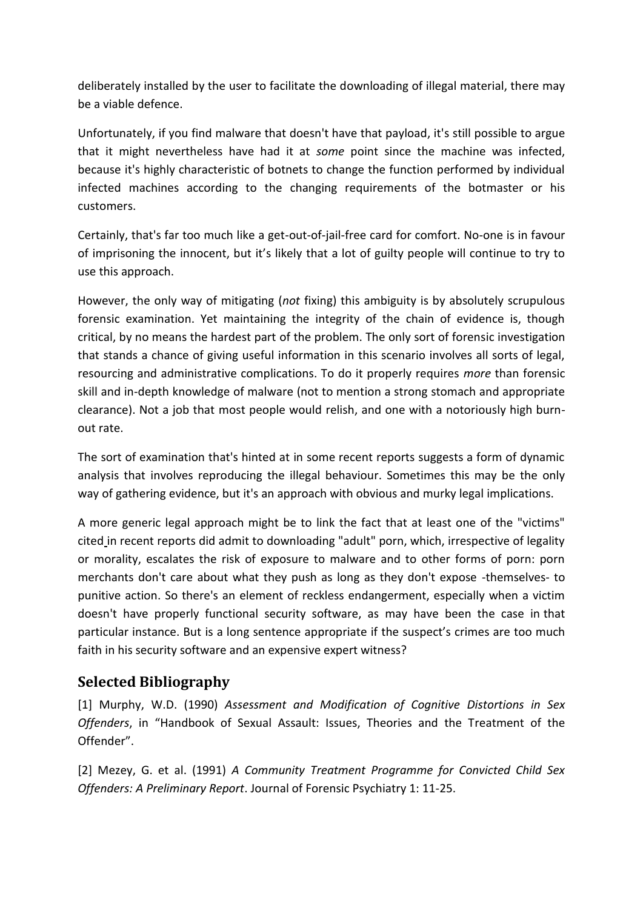deliberately installed by the user to facilitate the downloading of illegal material, there may be a viable defence.

Unfortunately, if you find malware that doesn't have that payload, it's still possible to argue that it might nevertheless have had it at *some* point since the machine was infected, because it's highly characteristic of botnets to change the function performed by individual infected machines according to the changing requirements of the botmaster or his customers.

Certainly, that's far too much like a get-out-of-jail-free card for comfort. No-one is in favour of imprisoning the innocent, but it's likely that a lot of guilty people will continue to try to use this approach.

However, the only way of mitigating (*not* fixing) this ambiguity is by absolutely scrupulous forensic examination. Yet maintaining the integrity of the chain of evidence is, though critical, by no means the hardest part of the problem. The only sort of forensic investigation that stands a chance of giving useful information in this scenario involves all sorts of legal, resourcing and administrative complications. To do it properly requires *more* than forensic skill and in-depth knowledge of malware (not to mention a strong stomach and appropriate clearance). Not a job that most people would relish, and one with a notoriously high burnout rate.

The sort of examination that's hinted at in some recent reports suggests a form of dynamic analysis that involves reproducing the illegal behaviour. Sometimes this may be the only way of gathering evidence, but it's an approach with obvious and murky legal implications.

A more generic legal approach might be to link the fact that at least one of the "victims" cited in recent reports did admit to downloading "adult" porn, which, irrespective of legality or morality, escalates the risk of exposure to malware and to other forms of porn: porn merchants don't care about what they push as long as they don't expose -themselves- to punitive action. So there's an element of reckless endangerment, especially when a victim doesn't have properly functional security software, as may have been the case in that particular instance. But is a long sentence appropriate if the suspect's crimes are too much faith in his security software and an expensive expert witness?

#### **Selected Bibliography**

[1] Murphy, W.D. (1990) *Assessment and Modification of Cognitive Distortions in Sex Offenders*, in "Handbook of Sexual Assault: Issues, Theories and the Treatment of the Offender".

[2] Mezey, G. et al. (1991) *A Community Treatment Programme for Convicted Child Sex Offenders: A Preliminary Report*. Journal of Forensic Psychiatry 1: 11-25.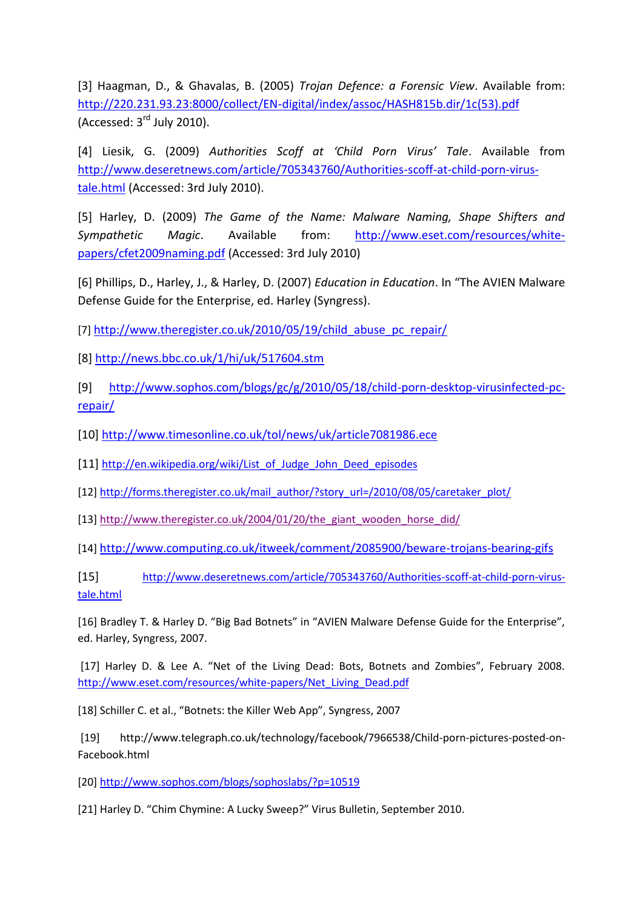[3] Haagman, D., & Ghavalas, B. (2005) *Trojan Defence: a Forensic View*. Available from: [http://220.231.93.23:8000/collect/EN-digital/index/assoc/HASH815b.dir/1c\(53\).pdf](http://220.231.93.23:8000/collect/EN-digital/index/assoc/HASH815b.dir/1c(53).pdf) (Accessed:  $3<sup>rd</sup>$  July 2010).

[4] Liesik, G. (2009) *Authorities Scoff at 'Child Porn Virus' Tale*. Available from [http://www.deseretnews.com/article/705343760/Authorities-scoff-at-child-porn-virus](http://www.deseretnews.com/article/705343760/Authorities-scoff-at-child-porn-virus-tale.html)[tale.html](http://www.deseretnews.com/article/705343760/Authorities-scoff-at-child-porn-virus-tale.html) (Accessed: 3rd July 2010).

[5] Harley, D. (2009) *The Game of the Name: Malware Naming, Shape Shifters and Sympathetic Magic*. Available from: [http://www.eset.com/resources/white](http://www.eset.com/resources/white-papers/cfet2009naming.pdf)[papers/cfet2009naming.pdf](http://www.eset.com/resources/white-papers/cfet2009naming.pdf) (Accessed: 3rd July 2010)

[6] Phillips, D., Harley, J., & Harley, D. (2007) *Education in Education*. In "The AVIEN Malware Defense Guide for the Enterprise, ed. Harley (Syngress).

[7] http://www.theregister.co.uk/2010/05/19/child abuse pc repair/

[8]<http://news.bbc.co.uk/1/hi/uk/517604.stm>

[9] [http://www.sophos.com/blogs/gc/g/2010/05/18/child-porn-desktop-virusinfected-pc](http://www.sophos.com/blogs/gc/g/2010/05/18/child-porn-desktop-virusinfected-pc-repair/)[repair/](http://www.sophos.com/blogs/gc/g/2010/05/18/child-porn-desktop-virusinfected-pc-repair/)

[10]<http://www.timesonline.co.uk/tol/news/uk/article7081986.ece>

[11] [http://en.wikipedia.org/wiki/List\\_of\\_Judge\\_John\\_Deed\\_episodes](http://en.wikipedia.org/wiki/List_of_Judge_John_Deed_episodes)

[12[\] http://forms.theregister.co.uk/mail\\_author/?story\\_url=/2010/08/05/caretaker\\_plot/](http://forms.theregister.co.uk/mail_author/?story_url=/2010/08/05/caretaker_plot/)

[13[\] http://www.theregister.co.uk/2004/01/20/the\\_giant\\_wooden\\_horse\\_did/](http://www.theregister.co.uk/2004/01/20/the_giant_wooden_horse_did/)

[14] <http://www.computing.co.uk/itweek/comment/2085900/beware-trojans-bearing-gifs>

[15] [http://www.deseretnews.com/article/705343760/Authorities-scoff-at-child-porn-virus](http://www.deseretnews.com/article/705343760/Authorities-scoff-at-child-porn-virus-tale.html)[tale.html](http://www.deseretnews.com/article/705343760/Authorities-scoff-at-child-porn-virus-tale.html)

[16] Bradley T. & Harley D. "Big Bad Botnets" in "AVIEN Malware Defense Guide for the Enterprise", ed. Harley, Syngress, 2007.

[17] Harley D. & Lee A. "Net of the Living Dead: Bots, Botnets and Zombies", February 2008. [http://www.eset.com/resources/white-papers/Net\\_Living\\_Dead.pdf](http://www.eset.com/resources/white-papers/Net_Living_Dead.pdf)

[18] Schiller C. et al., "Botnets: the Killer Web App", Syngress, 2007

[19] http://www.telegraph.co.uk/technology/facebook/7966538/Child-porn-pictures-posted-on-Facebook.html

[20[\] http://www.sophos.com/blogs/sophoslabs/?p=10519](http://www.sophos.com/blogs/sophoslabs/?p=10519)

[21] Harley D. "Chim Chymine: A Lucky Sweep?" Virus Bulletin, September 2010.